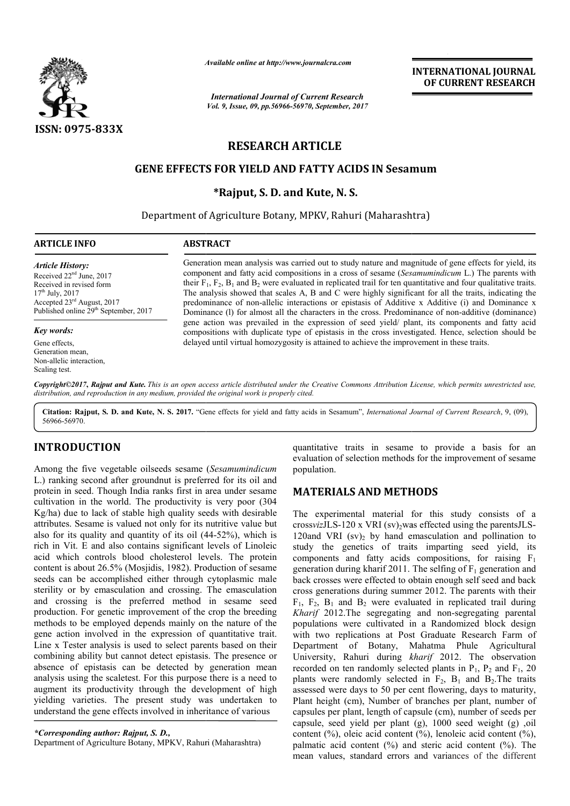

*Available online at http://www.journal http://www.journalcra.com*

*International Journal of Current Research Vol. 9, Issue, 09, pp.56966-56970, September, 2017* **INTERNATIONAL JOURNAL OF CURRENT RESEARCH** 

# **RESEARCH ARTICLE**

## **GENE EFFECTS FOR YIELD AND FATTY ACIDS IN Sesamum esamum**

**\*Rajput, S. D. and Kute, N. S.**

Department of Agriculture Botany, MPKV, Rahuri (Maharashtra)

#### **ARTICLE INFO ABSTRACT**

*Article History:* Received 22<sup>nd</sup> June, 2017 Received in revised form  $17^{th}$  July,  $2017$ Accepted 23<sup>rd</sup> August, 2017 Published online 29<sup>th</sup> September, 2017

#### *Key words:*

Gene effects, Generation mean, Non-allelic interaction, Scaling test.

Generation mean analysis was carried out to study nature and magnitude of gene effects for yield, its component and fatty acid compositions in a cross of sesame ( *Sesamumindicum* L.) The parents with their  $F_1$ ,  $F_2$ ,  $B_1$  and  $B_2$  were evaluated in replicated trail for ten quantitative and four qualitative traits. The analysis showed that scales A, B and C were highly significant for all the traits, indicating the predominance of non-allelic interactions or epistasis of Additive x Additive (i) and Dominance x Dominan Dominance (l) for almost all the characters in the cross. Predominance of non gene action was prevailed in the expression of seed yield/ plant, its components and fatty acid compositions with duplicate type of epistasis in the cross investigated. Hence, selection should be delayed until virtual homozygosity is attained to achieve the improvement in these traits. their  $F_1$ ,  $F_2$ ,  $B_1$  and  $B_2$  were evaluated in replicated trail for ten quantitative and four qualitative traits.<br>The analysis showed that scales A, B and C were highly significant for all the traits, indicating th

Copyright©2017, Rajput and Kute. This is an open access article distributed under the Creative Commons Attribution License, which permits unrestricted use, *distribution, and reproduction in any medium, provided the original work is properly cited.*

Citation: Rajput, S. D. and Kute, N. S. 2017. "Gene effects for yield and fatty acids in Sesamum", *International Journal of Current Research*, 9, (09), 56966-56970.

## **INTRODUCTION**

Among the five vegetable oilseeds sesame (*Sesamumindicum* L.) ranking second after groundnut is preferred for its oil and protein in seed. Though India ranks first in area under sesame cultivation in the world. The productivity is very poor (304 Kg/ha) due to lack of stable high quality seeds with desirable attributes. Sesame is valued not only for its nutritive value but also for its quality and quantity of its oil (44-52%), which is rich in Vit. E and also contains significant levels of Linoleic acid which controls blood cholesterol levels. The protein content is about 26.5% (Mosjidis, 1982). Production of sesame seeds can be accomplished either through cytoplasmic male sterility or by emasculation and crossing. The emasculation and crossing is the preferred method in sesame seed production. For genetic improvement of the crop the breeding methods to be employed depends mainly on the nature of the gene action involved in the expression of quantitative trait. Line x Tester analysis is used to select parents based on their combining ability but cannot detect epistasis. The presence or absence of epistasis can be detected by generation mean analysis using the scaletest. For this purpose there is a need to augment its productivity through the development of high yielding varieties. The present study was undertaken to understand the gene effects involved in inheritance of various sis using the scaletest. For this purpose there is a need to eent its productivity through the development of high ing varieties. The present study was undertaken to

*\*Corresponding author: Rajput, S. D.,* Department of Agriculture Botany, MPKV, Rahuri (Maharashtra)

quantitative traits in sesame to provide a basis for an evaluation of selection methods for the improvement of sesame population.

### **MATERIALS AND METHODS METHODS**

The experimental material for this study consists of a crossvizJLS-120 x VRI  $\frac{\text{(sv)}}{2}$ was effected using the parentsJLS-120and VRI  $(sv)$ <sub>2</sub> by hand emasculation and pollination to study the genetics of traits imparting seed yield, its study the genetics of traits imparting seed yield, its components and fatty acids compositions, for raising  $F_1$ generation during kharif 2011. The selfing of  $F_1$  generation and back crosses were effected to obtain enough self seed and back cross generations during summer 2012. The parents with their  $F_1$ ,  $F_2$ ,  $B_1$  and  $B_2$  were evaluated in replicated trail during *Kharif* 2012. The segregating and non-segregating parental populations were cultivated in a Randomized block design with two replications at Post Graduate Research Farm of with two replications at Post Graduate Research Farm of Department of Botany, Mahatma Phule Agricultural University, Rahuri during *kharif* 2012. The observation recorded on ten randomly selected plants in  $P_1$ ,  $P_2$  and  $F_1$ , 20 plants were randomly selected in  $F_2$ ,  $B_1$  and  $B_2$ . The traits assessed were days to 50 per cent flowering, days to maturity, Plant height (cm), Number of branches per plant, number of capsules per plant, length of capsule (cm), number of seeds per capsule, seed yield per plant (g), 1000 seed weight (g) ,oil assessed were days to 50 per cent flowering, days to maturity, Plant height (cm), Number of branches per plant, number of capsules per plant, length of capsule (cm), number of seeds per capsule, seed yield per plant (g), 1 palmatic acid content (%) and steric acid content (%). The mean values, standard errors and variances of the different tions during summer 2012. The parents with their<br>ad  $B_2$  were evaluated in replicated trail during<br>The segregating and non-segregating parental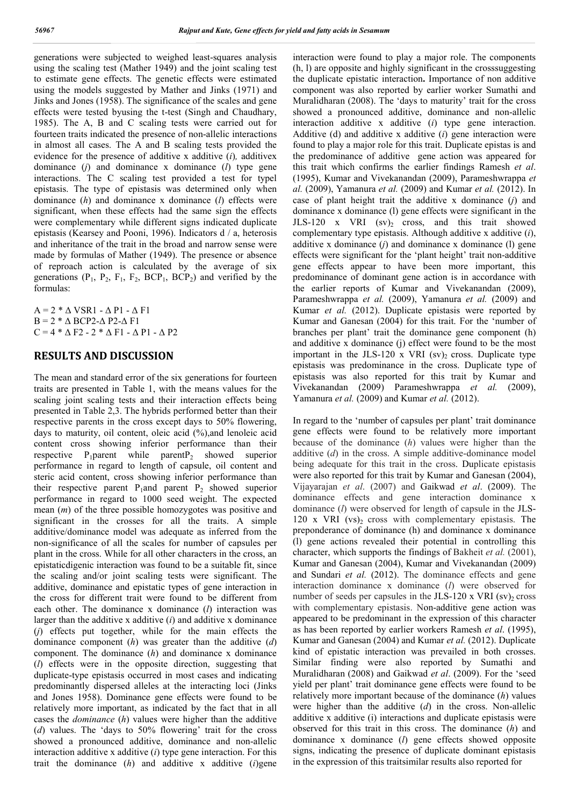generations were subjected to weighed least-squares analysis using the scaling test (Mather 1949) and the joint scaling test to estimate gene effects. The genetic effects were estimated using the models suggested by Mather and Jinks (1971) and Jinks and Jones (1958). The significance of the scales and gene effects were tested byusing the t-test (Singh and Chaudhary, 1985). The A, B and C scaling tests were carried out for fourteen traits indicated the presence of non-allelic interactions in almost all cases. The A and B scaling tests provided the evidence for the presence of additive x additive (*i*)*,* additivex dominance (*j*) and dominance x dominance (*l*) type gene interactions. The C scaling test provided a test for typel epistasis. The type of epistasis was determined only when dominance (*h*) and dominance x dominance (*l*) effects were significant, when these effects had the same sign the effects were complementary while different signs indicated duplicate epistasis (Kearsey and Pooni, 1996). Indicators d / a, heterosis and inheritance of the trait in the broad and narrow sense were made by formulas of Mather (1949). The presence or absence of reproach action is calculated by the average of six generations  $(P_1, P_2, F_1, F_2, BCP_1, BCP_2)$  and verified by the formulas:

 $A = 2 * \Delta VSR1 - \Delta Pl - \Delta Fl$  $B = 2 * \Delta BCP2 - \Delta P2 - \Delta F1$  $C = 4 * \Delta F2 - 2 * \Delta F1 - \Delta P1 - \Delta P2$ 

## **RESULTS AND DISCUSSION**

The mean and standard error of the six generations for fourteen traits are presented in Table 1, with the means values for the scaling joint scaling tests and their interaction effects being presented in Table 2,3. The hybrids performed better than their respective parents in the cross except days to 50% flowering, days to maturity, oil content, oleic acid (%),and lenoleic acid content cross showing inferior performance than their respective  $P_1$ parent while parent $P_2$  showed superior performance in regard to length of capsule, oil content and steric acid content, cross showing inferior performance than their respective parent  $P_1$ and parent  $P_2$  showed superior performance in regard to 1000 seed weight. The expected mean (*m*) of the three possible homozygotes was positive and significant in the crosses for all the traits. A simple additive/dominance model was adequate as inferred from the non-significance of all the scales for number of capsules per plant in the cross. While for all other characters in the cross, an epistaticdigenic interaction was found to be a suitable fit, since the scaling and/or joint scaling tests were significant. The additive, dominance and epistatic types of gene interaction in the cross for different trait were found to be different from each other. The dominance x dominance (*l*) interaction was larger than the additive x additive (*i*) and additive x dominance (*j*) effects put together, while for the main effects the dominance component (*h*) was greater than the additive (*d*) component. The dominance (*h*) and dominance x dominance (*l*) effects were in the opposite direction, suggesting that duplicate-type epistasis occurred in most cases and indicating predominantly dispersed alleles at the interacting loci (Jinks and Jones 1958). Dominance gene effects were found to be relatively more important, as indicated by the fact that in all cases the *dominance* (*h*) values were higher than the additive (*d*) values. The 'days to 50% flowering' trait for the cross showed a pronounced additive, dominance and non-allelic interaction additive x additive (*i*) type gene interaction. For this trait the dominance (*h*) and additive x additive (*i*)gene

interaction were found to play a major role. The components (h, l) are opposite and highly significant in the crosssuggesting the duplicate epistatic interaction**.** Importance of non additive component was also reported by earlier worker Sumathi and Muralidharan (2008). The 'days to maturity' trait for the cross showed a pronounced additive, dominance and non-allelic interaction additive x additive (*i*) type gene interaction. Additive (d) and additive x additive (*i*) gene interaction were found to play a major role for this trait. Duplicate epistas is and the predominance of additive gene action was appeared for this trait which confirms the earlier findings Ramesh *et al*. (1995), Kumar and Vivekanandan (2009), Parameshwrappa *et al.* (2009), Yamanura *et al.* (2009) and Kumar *et al.* (2012). In case of plant height trait the additive x dominance (*j*) and dominance x dominance (l) gene effects were significant in the JLS-120 x VRI  $(sv)_2$  cross, and this trait showed complementary type epistasis. Although additive x additive (*i*), additive x dominance (*j*) and dominance x dominance (l) gene effects were significant for the 'plant height' trait non-additive gene effects appear to have been more important, this predominance of dominant gene action is in accordance with the earlier reports of Kumar and Vivekanandan (2009), Parameshwrappa *et al.* (2009), Yamanura *et al.* (2009) and Kumar *et al.* (2012). Duplicate epistasis were reported by Kumar and Ganesan (2004) for this trait. For the 'number of branches per plant' trait the dominance gene component (h) and additive x dominance (j) effect were found to be the most important in the JLS-120 x VRI  $(sv)$  cross. Duplicate type epistasis was predominance in the cross. Duplicate type of epistasis was also reported for this trait by Kumar and Vivekanandan (2009) Parameshwrappa *et al.* (2009), Yamanura *et al.* (2009) and Kumar *et al.* (2012).

In regard to the 'number of capsules per plant' trait dominance gene effects were found to be relatively more important because of the dominance (*h*) values were higher than the additive (*d*) in the cross. A simple additive-dominance model being adequate for this trait in the cross. Duplicate epistasis were also reported for this trait by Kumar and Ganesan (2004), Vijayarajan *et al*. (2007) and Gaikwad *et al*. (2009). The dominance effects and gene interaction dominance x dominance (*l*) were observed for length of capsule in the JLS-120 x VRI  $(vs)_2$  cross with complementary epistasis. The preponderance of dominance (h) and dominance x dominance (l) gene actions revealed their potential in controlling this character, which supports the findings of Bakheit *et al.* (2001), Kumar and Ganesan (2004), Kumar and Vivekanandan (2009) and Sundari *et al.* (2012). The dominance effects and gene interaction dominance x dominance (*l*) were observed for number of seeds per capsules in the JLS-120 x VRI  $(sv)$  cross with complementary epistasis. Non-additive gene action was appeared to be predominant in the expression of this character as has been reported by earlier workers Ramesh *et al*. (1995), Kumar and Ganesan (2004) and Kumar *et al.* (2012). Duplicate kind of epistatic interaction was prevailed in both crosses. Similar finding were also reported by Sumathi and Muralidharan (2008) and Gaikwad *et al*. (2009). For the 'seed yield per plant' trait dominance gene effects were found to be relatively more important because of the dominance (*h*) values were higher than the additive (*d*) in the cross. Non-allelic additive x additive (i) interactions and duplicate epistasis were observed for this trait in this cross. The dominance (*h*) and dominance x dominance (*l*) gene effects showed opposite signs, indicating the presence of duplicate dominant epistasis in the expression of this traitsimilar results also reported for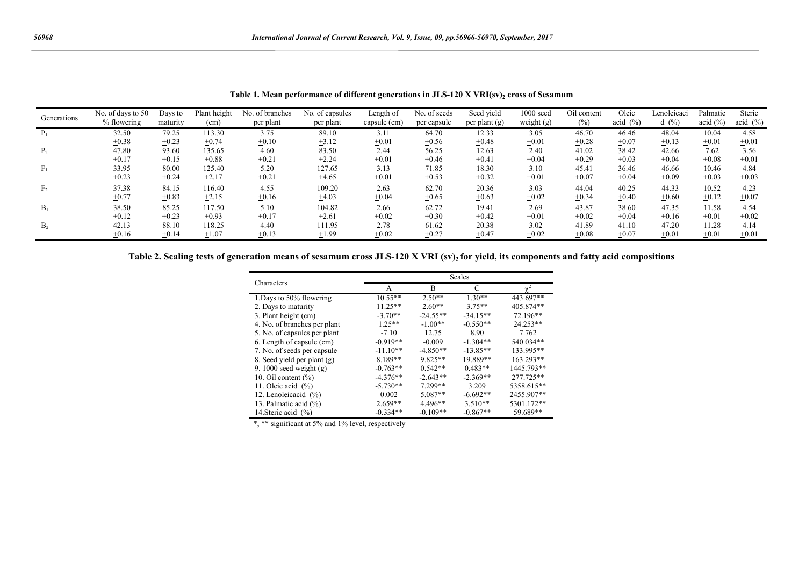| Generations    | No. of days to 50<br>% flowering | Days to<br>maturity | Plant height<br>(cm) | No. of branches<br>per plant | No. of capsules<br>per plant | Length of<br>capsule (cm) | No. of seeds<br>per capsule | Seed yield<br>per plant $(g)$ | 1000 seed<br>weight $(g)$ | Oil content<br>$(\%)$ | Oleic<br>acid $(\% )$ | Lenoleicaci<br>d(%) | Palmatic<br>acid $(\% )$ | Steric<br>acid $(\% )$ |
|----------------|----------------------------------|---------------------|----------------------|------------------------------|------------------------------|---------------------------|-----------------------------|-------------------------------|---------------------------|-----------------------|-----------------------|---------------------|--------------------------|------------------------|
|                | 32.50                            | 79.25               | 113.30               | 3.75                         | 89.10                        | 3.11                      | 64.70                       | 12.33                         | 3.05                      | 46.70                 | 46.46                 | 48.04               | 10.04                    | 4.58                   |
|                | $+0.38$                          | $+0.23$             | $+0.74$              | $+0.10$                      | $+3.12$                      | $+0.01$                   | $+0.56$                     | $+0.48$                       | $+0.01$                   | $+0.28$               | $\pm 0.07$            | $+0.13$             | $+0.01$                  | $+0.01$                |
| P <sub>2</sub> | 47.80                            | 93.60               | 135.65               | 4.60                         | 83.50                        | 2.44                      | 56.25                       | 12.63                         | 2.40                      | 41.02                 | 38.42                 | 42.66               | 7.62                     | 3.56                   |
|                | $+0.17$                          | $+0.15$             | $+0.88$              | $+0.21$                      | $+2.24$                      | $+0.01$                   | $+0.46$                     | ±0.41                         | $+0.04$                   | $+0.29$               | $+0.03$               | $+0.04$             | $+0.08$                  | $+0.01$                |
|                | 33.95                            | 80.00               | 125.40               | 5.20                         | 127.65                       | 3.13                      | 71.85                       | 18.30                         | 3.10                      | 45.41                 | 36.46                 | 46.66               | 10.46                    | 4.84                   |
|                | $+0.23$                          | $+0.24$             | $+2.17$              | $+0.21$                      | $+4.65$                      | $+0.01$                   | $+0.53$                     | $+0.32$                       | $+0.01$                   | $+0.07$               | $+0.04$               | $+0.09$             | $+0.03$                  | $+0.03$                |
| F <sub>2</sub> | 37.38                            | 84.15               | 116.40               | 4.55                         | 109.20                       | 2.63                      | 62.70                       | 20.36                         | 3.03                      | 44.04                 | 40.25                 | 44.33               | 10.52                    | 4.23                   |
|                | $+0.77$                          | $+0.83$             | $+2.15$              | $+0.16$                      | $+4.03$                      | $+0.04$                   | $+0.65$                     | $+0.63$                       | $+0.02$                   | $+0.34$               | $+0.40$               | $+0.60$             | $+0.12$                  | $+0.07$                |
| $B_1$          | 38.50                            | 85.25               | 117.50               | 5.10                         | 104.82                       | 2.66                      | 62.72                       | 19.41                         | 2.69                      | 43.87                 | 38.60                 | 47.35               | 11.58                    | 4.54                   |
|                | $+0.12$                          | $+0.23$             | $+0.93$              | ±0.17                        | $+2.61$                      | $+0.02$                   | $+0.30$                     | ±0.42                         | $+0.01$                   | $+0.02$               | $+0.04$               | $+0.16$             | $+0.01$                  | $+0.02$                |
| B <sub>2</sub> | 42.13                            | 88.10               | 118.25               | 4.40                         | 111.95                       | 2.78                      | 61.62                       | 20.38                         | 3.02                      | 41.89                 | 41.10                 | 47.20               | 11.28                    | 4.14                   |
|                | $+0.16$                          | $+0.14$             | $+1.07$              | $\pm 0.13$                   | $+1.99$                      | $+0.02$                   | $+0.27$                     | $+0.47$                       | $+0.02$                   | $+0.08$               | $+0.07$               | $+0.01$             | $+0.01$                  | $+0.01$                |

Table 1. Mean performance of different generations in JLS-120 X VRI(sv)<sub>2</sub> cross of Sesamum

**Table 2. Scaling tests of generation means of sesamum cross JLS-120 X VRI (sv)2 for yield, its components and fatty acid compositions**

|                              | Scales     |            |            |            |  |  |  |  |
|------------------------------|------------|------------|------------|------------|--|--|--|--|
| Characters                   | A          | В          | C          | $\chi^2$   |  |  |  |  |
| 1. Days to 50% flowering     | $10.55**$  | $2.50**$   | $1.30**$   | 443.697**  |  |  |  |  |
| 2. Days to maturity          | $11.25**$  | $2.60**$   | $3.75**$   | 405.874**  |  |  |  |  |
| 3. Plant height (cm)         | $-3.70**$  | $-24.55**$ | $-34.15**$ | 72.196**   |  |  |  |  |
| 4. No. of branches per plant | $1.25**$   | $-1.00**$  | $-0.550**$ | 24.253**   |  |  |  |  |
| 5. No. of capsules per plant | $-7.10$    | 12.75      | 8.90       | 7.762      |  |  |  |  |
| 6. Length of capsule (cm)    | $-0.919**$ | $-0.009$   | $-1.304**$ | 540.034**  |  |  |  |  |
| 7. No. of seeds per capsule  | $-11.10**$ | $-4.850**$ | $-13.85**$ | 133.995**  |  |  |  |  |
| 8. Seed yield per plant (g)  | $8.189**$  | $9.825**$  | 19.889**   | 163.293**  |  |  |  |  |
| 9. 1000 seed weight $(g)$    | $-0.763**$ | $0.542**$  | $0.483**$  | 1445.793** |  |  |  |  |
| 10. Oil content $(\% )$      | $-4.376**$ | $-2.643**$ | $-2.369**$ | 277.725**  |  |  |  |  |
| 11. Oleic acid $(\% )$       | $-5.730**$ | 7.299**    | 3.209      | 5358.615** |  |  |  |  |
| 12. Lenoleicacid (%)         | 0.002      | $5.087**$  | $-6.692**$ | 2455.907** |  |  |  |  |
| 13. Palmatic acid (%)        | $2.659**$  | $4.496**$  | $3.510**$  | 5301.172** |  |  |  |  |
| 14. Steric acid $(\% )$      | $-0.334**$ | $-0.109**$ | $-0.867**$ | 59.689**   |  |  |  |  |

\*, \*\* significant at 5% and 1% level, respectively

 $\overline{a}$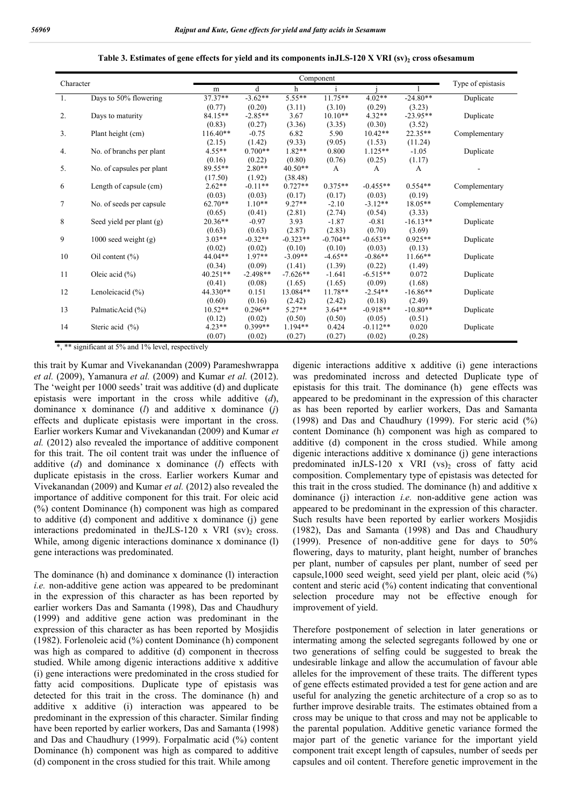#### Table 3. Estimates of gene effects for yield and its components inJLS-120 X VRI (sv)<sub>2</sub> cross ofsesamum

| Character |                           |            |            |            |            |            |            |                   |
|-----------|---------------------------|------------|------------|------------|------------|------------|------------|-------------------|
|           |                           | m          | d          | h          |            |            |            | Type of epistasis |
| -1.       | Days to 50% flowering     | 37.37**    | $-3.62**$  | $5.55**$   | $11.75**$  | $4.02**$   | $-24.80**$ | Duplicate         |
|           |                           | (0.77)     | (0.20)     | (3.11)     | (3.10)     | (0.29)     | (3.23)     |                   |
| 2.        | Days to maturity          | 84.15**    | $-2.85**$  | 3.67       | $10.10**$  | $4.32**$   | $-23.95**$ | Duplicate         |
|           |                           | (0.83)     | (0.27)     | (3.36)     | (3.35)     | (0.30)     | (3.52)     |                   |
| 3.        | Plant height (cm)         | $116.40**$ | $-0.75$    | 6.82       | 5.90       | $10.42**$  | $22.35**$  | Complementary     |
|           |                           | (2.15)     | (1.42)     | (9.33)     | (9.05)     | (1.53)     | (11.24)    |                   |
| 4.        | No. of branchs per plant  | $4.55**$   | $0.700**$  | $1.82**$   | 0.800      | $1.125**$  | $-1.05$    | Duplicate         |
|           |                           | (0.16)     | (0.22)     | (0.80)     | (0.76)     | (0.25)     | (1.17)     |                   |
| 5.        | No. of capsules per plant | 89.55**    | $2.80**$   | $40.50**$  | A          | A          | A          |                   |
|           |                           | (17.50)    | (1.92)     | (38.48)    |            |            |            |                   |
| 6         | Length of capsule (cm)    | $2.62**$   | $-0.11**$  | $0.727**$  | $0.375**$  | $-0.455**$ | $0.554**$  | Complementary     |
|           |                           | (0.03)     | (0.03)     | (0.17)     | (0.17)     | (0.03)     | (0.19)     |                   |
| 7         | No. of seeds per capsule  | $62.70**$  | $1.10**$   | $9.27**$   | $-2.10$    | $-3.12**$  | $18.05**$  | Complementary     |
|           |                           | (0.65)     | (0.41)     | (2.81)     | (2.74)     | (0.54)     | (3.33)     |                   |
| 8         | Seed yield per plant (g)  | $20.36**$  | $-0.97$    | 3.93       | $-1.87$    | $-0.81$    | $-16.13**$ | Duplicate         |
|           |                           | (0.63)     | (0.63)     | (2.87)     | (2.83)     | (0.70)     | (3.69)     |                   |
| 9         | $1000$ seed weight $(g)$  | $3.03**$   | $-0.32**$  | $-0.323**$ | $-0.704**$ | $-0.653**$ | $0.925**$  | Duplicate         |
|           |                           | (0.02)     | (0.02)     | (0.10)     | (0.10)     | (0.03)     | (0.13)     |                   |
| 10        | Oil content $(\% )$       | 44.04**    | $1.97**$   | $-3.09**$  | $-4.65**$  | $-0.86**$  | $11.66**$  | Duplicate         |
|           |                           | (0.34)     | (0.09)     | (1.41)     | (1.39)     | (0.22)     | (1.49)     |                   |
| 11        | Oleic acid $(\% )$        | 40.251**   | $-2.498**$ | $-7.626**$ | $-1.641$   | $-6.515**$ | 0.072      | Duplicate         |
|           |                           | (0.41)     | (0.08)     | (1.65)     | (1.65)     | (0.09)     | (1.68)     |                   |
| 12        | Lenoleicacid $(\% )$      | 44.330**   | 0.151      | 13.084**   | $11.78**$  | $-2.54**$  | $-16.86**$ | Duplicate         |
|           |                           | (0.60)     | (0.16)     | (2.42)     | (2.42)     | (0.18)     | (2.49)     |                   |
| 13        | PalmaticAcid (%)          | $10.52**$  | $0.296**$  | $5.27**$   | $3.64**$   | $-0.918**$ | $-10.80**$ | Duplicate         |
|           |                           | (0.12)     | (0.02)     | (0.50)     | (0.50)     | (0.05)     | (0.51)     |                   |
| 14        | Steric acid $(\% )$       | $4.23**$   | $0.399**$  | $1.194**$  | 0.424      | $-0.112**$ | 0.020      | Duplicate         |
|           |                           | (0.07)     | (0.02)     | (0.27)     | (0.27)     | (0.02)     | (0.28)     |                   |

\*, \*\* significant at 5% and 1% level, respectively

this trait by Kumar and Vivekanandan (2009) Parameshwrappa *et al.* (2009), Yamanura *et al.* (2009) and Kumar *et al.* (2012). The 'weight per 1000 seeds' trait was additive (d) and duplicate epistasis were important in the cross while additive (*d*), dominance x dominance (*l*) and additive x dominance (*j*) effects and duplicate epistasis were important in the cross. Earlier workers Kumar and Vivekanandan (2009) and Kumar *et al.* (2012) also revealed the importance of additive component for this trait. The oil content trait was under the influence of additive (*d*) and dominance x dominance (*l*) effects with duplicate epistasis in the cross. Earlier workers Kumar and Vivekanandan (2009) and Kumar *et al.* (2012) also revealed the importance of additive component for this trait. For oleic acid (%) content Dominance (h) component was high as compared to additive (d) component and additive x dominance (j) gene interactions predominated in the JLS-120 x VRI  $(sv)$  cross. While, among digenic interactions dominance x dominance (1) gene interactions was predominated.

The dominance (h) and dominance x dominance (l) interaction *i.e.* non-additive gene action was appeared to be predominant in the expression of this character as has been reported by earlier workers Das and Samanta (1998), Das and Chaudhury (1999) and additive gene action was predominant in the expression of this character as has been reported by Mosjidis (1982). Forlenoleic acid (%) content Dominance (h) component was high as compared to additive (d) component in thecross studied. While among digenic interactions additive x additive (i) gene interactions were predominated in the cross studied for fatty acid compositions. Duplicate type of epistasis was detected for this trait in the cross. The dominance (h) and additive x additive (i) interaction was appeared to be predominant in the expression of this character. Similar finding have been reported by earlier workers, Das and Samanta (1998) and Das and Chaudhury (1999). Forpalmatic acid (%) content Dominance (h) component was high as compared to additive (d) component in the cross studied for this trait. While among

digenic interactions additive x additive (i) gene interactions was predominated incross and detected Duplicate type of epistasis for this trait. The dominance (h) gene effects was appeared to be predominant in the expression of this character as has been reported by earlier workers, Das and Samanta (1998) and Das and Chaudhury (1999). For steric acid (%) content Dominance (h) component was high as compared to additive (d) component in the cross studied. While among digenic interactions additive x dominance (j) gene interactions predominated inJLS-120 x VRI  $(vs)$  cross of fatty acid composition. Complementary type of epistasis was detected for this trait in the cross studied. The dominance (h) and additive x dominance (j) interaction *i.e.* non-additive gene action was appeared to be predominant in the expression of this character. Such results have been reported by earlier workers Mosjidis (1982), Das and Samanta (1998) and Das and Chaudhury (1999). Presence of non-additive gene for days to 50% flowering, days to maturity, plant height, number of branches per plant, number of capsules per plant, number of seed per capsule,1000 seed weight, seed yield per plant, oleic acid (%) content and steric acid (%) content indicating that conventional selection procedure may not be effective enough for improvement of yield.

Therefore postponement of selection in later generations or intermating among the selected segregants followed by one or two generations of selfing could be suggested to break the undesirable linkage and allow the accumulation of favour able alleles for the improvement of these traits. The different types of gene effects estimated provided a test for gene action and are useful for analyzing the genetic architecture of a crop so as to further improve desirable traits. The estimates obtained from a cross may be unique to that cross and may not be applicable to the parental population. Additive genetic variance formed the major part of the genetic variance for the important yield component trait except length of capsules, number of seeds per capsules and oil content. Therefore genetic improvement in the